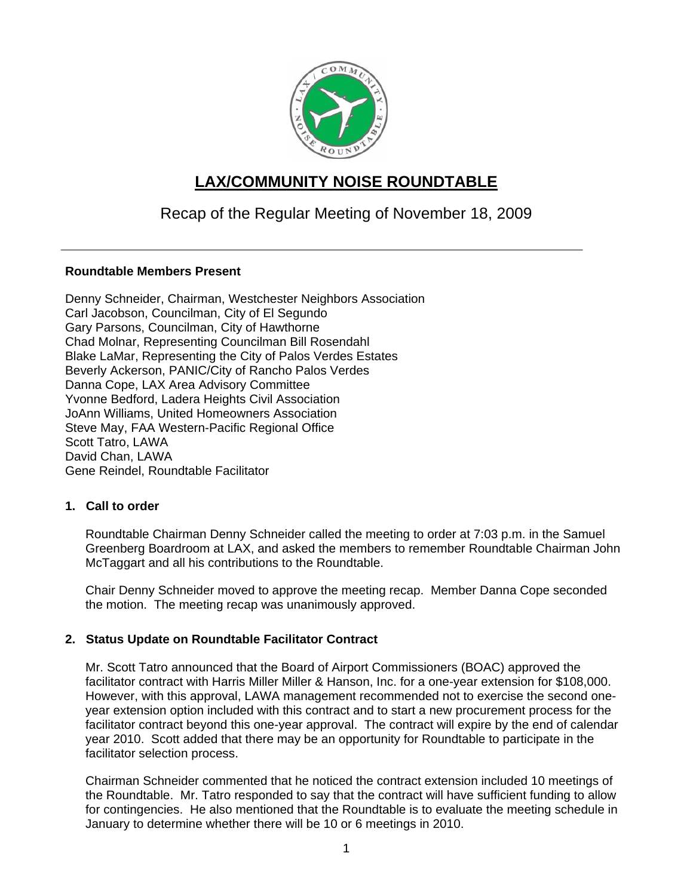

# **LAX/COMMUNITY NOISE ROUNDTABLE**

# Recap of the Regular Meeting of November 18, 2009

## **Roundtable Members Present**

Denny Schneider, Chairman, Westchester Neighbors Association Carl Jacobson, Councilman, City of El Segundo Gary Parsons, Councilman, City of Hawthorne Chad Molnar, Representing Councilman Bill Rosendahl Blake LaMar, Representing the City of Palos Verdes Estates Beverly Ackerson, PANIC/City of Rancho Palos Verdes Danna Cope, LAX Area Advisory Committee Yvonne Bedford, Ladera Heights Civil Association JoAnn Williams, United Homeowners Association Steve May, FAA Western-Pacific Regional Office Scott Tatro, LAWA David Chan, LAWA Gene Reindel, Roundtable Facilitator

## **1. Call to order**

Roundtable Chairman Denny Schneider called the meeting to order at 7:03 p.m. in the Samuel Greenberg Boardroom at LAX, and asked the members to remember Roundtable Chairman John McTaggart and all his contributions to the Roundtable.

Chair Denny Schneider moved to approve the meeting recap. Member Danna Cope seconded the motion. The meeting recap was unanimously approved.

# **2. Status Update on Roundtable Facilitator Contract**

Mr. Scott Tatro announced that the Board of Airport Commissioners (BOAC) approved the facilitator contract with Harris Miller Miller & Hanson, Inc. for a one-year extension for \$108,000. However, with this approval, LAWA management recommended not to exercise the second oneyear extension option included with this contract and to start a new procurement process for the facilitator contract beyond this one-year approval. The contract will expire by the end of calendar year 2010. Scott added that there may be an opportunity for Roundtable to participate in the facilitator selection process.

Chairman Schneider commented that he noticed the contract extension included 10 meetings of the Roundtable. Mr. Tatro responded to say that the contract will have sufficient funding to allow for contingencies. He also mentioned that the Roundtable is to evaluate the meeting schedule in January to determine whether there will be 10 or 6 meetings in 2010.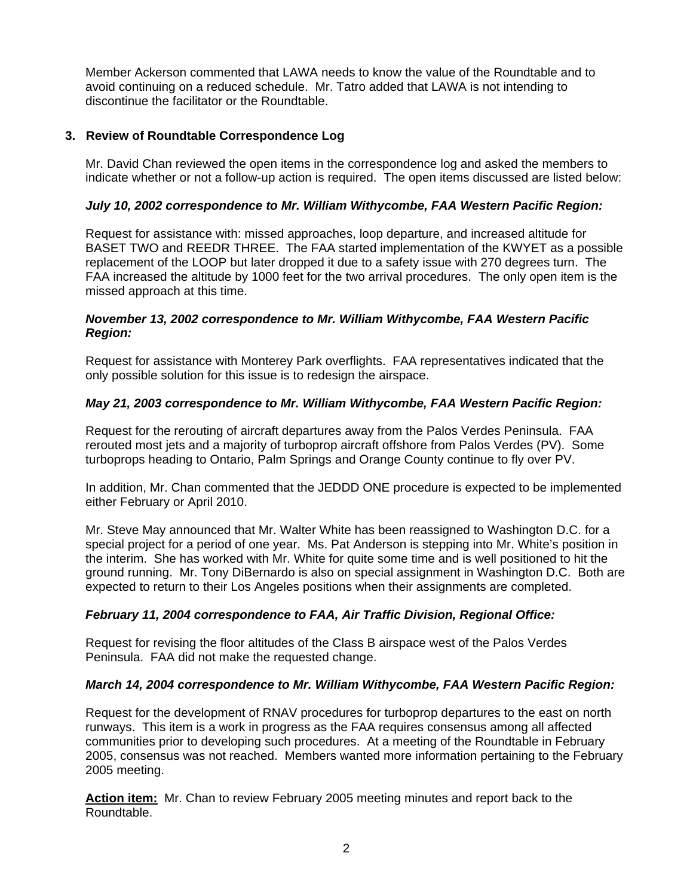Member Ackerson commented that LAWA needs to know the value of the Roundtable and to avoid continuing on a reduced schedule. Mr. Tatro added that LAWA is not intending to discontinue the facilitator or the Roundtable.

## **3. Review of Roundtable Correspondence Log**

Mr. David Chan reviewed the open items in the correspondence log and asked the members to indicate whether or not a follow-up action is required. The open items discussed are listed below:

## *July 10, 2002 correspondence to Mr. William Withycombe, FAA Western Pacific Region:*

Request for assistance with: missed approaches, loop departure, and increased altitude for BASET TWO and REEDR THREE. The FAA started implementation of the KWYET as a possible replacement of the LOOP but later dropped it due to a safety issue with 270 degrees turn. The FAA increased the altitude by 1000 feet for the two arrival procedures. The only open item is the missed approach at this time.

#### *November 13, 2002 correspondence to Mr. William Withycombe, FAA Western Pacific Region:*

Request for assistance with Monterey Park overflights. FAA representatives indicated that the only possible solution for this issue is to redesign the airspace.

## *May 21, 2003 correspondence to Mr. William Withycombe, FAA Western Pacific Region:*

Request for the rerouting of aircraft departures away from the Palos Verdes Peninsula. FAA rerouted most jets and a majority of turboprop aircraft offshore from Palos Verdes (PV). Some turboprops heading to Ontario, Palm Springs and Orange County continue to fly over PV.

In addition, Mr. Chan commented that the JEDDD ONE procedure is expected to be implemented either February or April 2010.

Mr. Steve May announced that Mr. Walter White has been reassigned to Washington D.C. for a special project for a period of one year. Ms. Pat Anderson is stepping into Mr. White's position in the interim. She has worked with Mr. White for quite some time and is well positioned to hit the ground running. Mr. Tony DiBernardo is also on special assignment in Washington D.C. Both are expected to return to their Los Angeles positions when their assignments are completed.

## *February 11, 2004 correspondence to FAA, Air Traffic Division, Regional Office:*

Request for revising the floor altitudes of the Class B airspace west of the Palos Verdes Peninsula. FAA did not make the requested change.

## *March 14, 2004 correspondence to Mr. William Withycombe, FAA Western Pacific Region:*

Request for the development of RNAV procedures for turboprop departures to the east on north runways. This item is a work in progress as the FAA requires consensus among all affected communities prior to developing such procedures. At a meeting of the Roundtable in February 2005, consensus was not reached. Members wanted more information pertaining to the February 2005 meeting.

**Action item:** Mr. Chan to review February 2005 meeting minutes and report back to the Roundtable.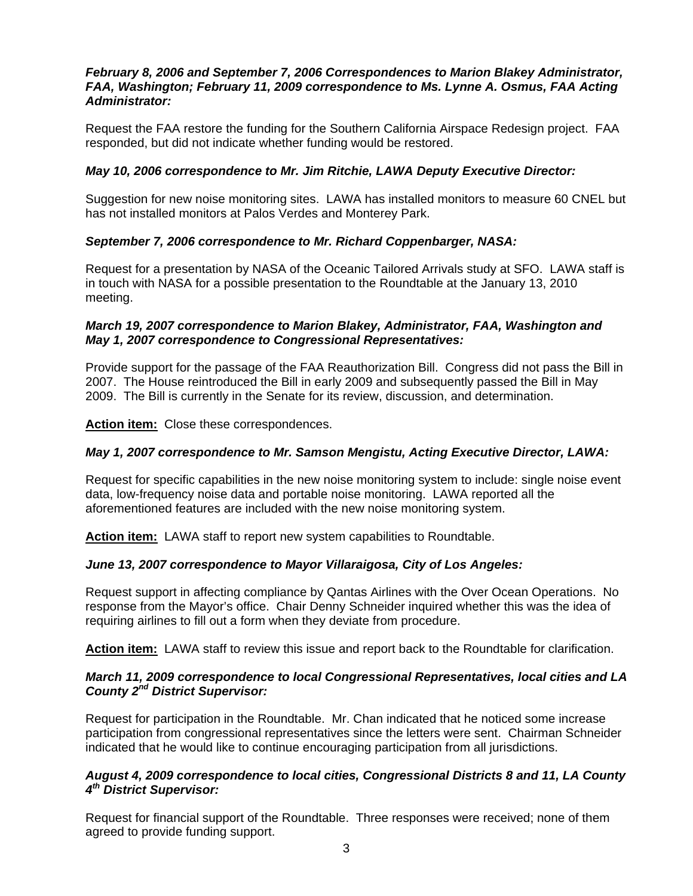## *February 8, 2006 and September 7, 2006 Correspondences to Marion Blakey Administrator, FAA, Washington; February 11, 2009 correspondence to Ms. Lynne A. Osmus, FAA Acting Administrator:*

Request the FAA restore the funding for the Southern California Airspace Redesign project. FAA responded, but did not indicate whether funding would be restored.

## *May 10, 2006 correspondence to Mr. Jim Ritchie, LAWA Deputy Executive Director:*

Suggestion for new noise monitoring sites. LAWA has installed monitors to measure 60 CNEL but has not installed monitors at Palos Verdes and Monterey Park.

## *September 7, 2006 correspondence to Mr. Richard Coppenbarger, NASA:*

Request for a presentation by NASA of the Oceanic Tailored Arrivals study at SFO. LAWA staff is in touch with NASA for a possible presentation to the Roundtable at the January 13, 2010 meeting.

## *March 19, 2007 correspondence to Marion Blakey, Administrator, FAA, Washington and May 1, 2007 correspondence to Congressional Representatives:*

Provide support for the passage of the FAA Reauthorization Bill. Congress did not pass the Bill in 2007. The House reintroduced the Bill in early 2009 and subsequently passed the Bill in May 2009. The Bill is currently in the Senate for its review, discussion, and determination.

**Action item:** Close these correspondences.

## *May 1, 2007 correspondence to Mr. Samson Mengistu, Acting Executive Director, LAWA:*

Request for specific capabilities in the new noise monitoring system to include: single noise event data, low-frequency noise data and portable noise monitoring. LAWA reported all the aforementioned features are included with the new noise monitoring system.

**Action item:** LAWA staff to report new system capabilities to Roundtable.

## *June 13, 2007 correspondence to Mayor Villaraigosa, City of Los Angeles:*

Request support in affecting compliance by Qantas Airlines with the Over Ocean Operations. No response from the Mayor's office. Chair Denny Schneider inquired whether this was the idea of requiring airlines to fill out a form when they deviate from procedure.

**Action item:** LAWA staff to review this issue and report back to the Roundtable for clarification.

#### *March 11, 2009 correspondence to local Congressional Representatives, local cities and LA County 2nd District Supervisor:*

Request for participation in the Roundtable. Mr. Chan indicated that he noticed some increase participation from congressional representatives since the letters were sent. Chairman Schneider indicated that he would like to continue encouraging participation from all jurisdictions.

## *August 4, 2009 correspondence to local cities, Congressional Districts 8 and 11, LA County 4th District Supervisor:*

Request for financial support of the Roundtable. Three responses were received; none of them agreed to provide funding support.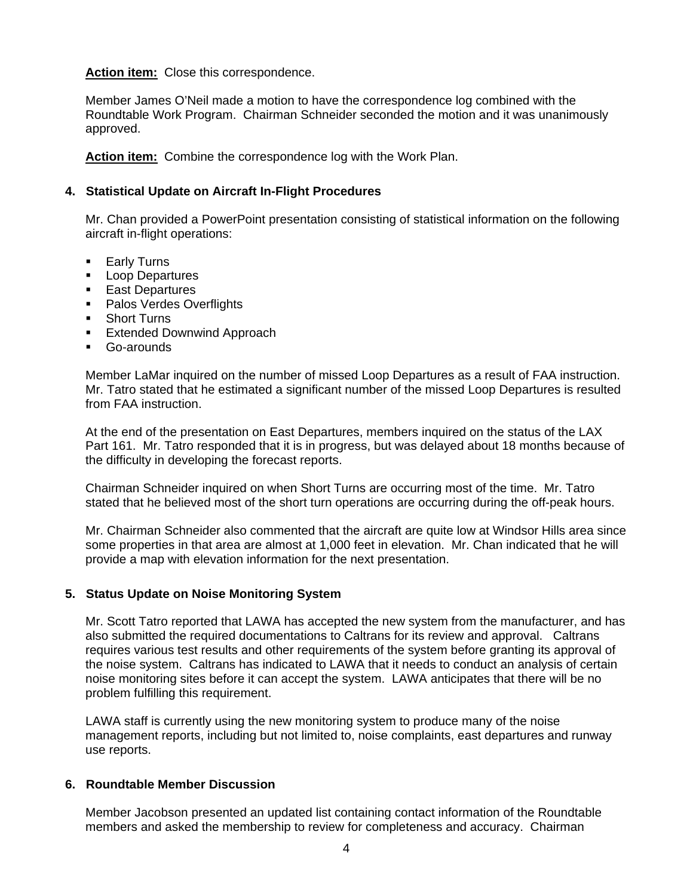## **Action item:** Close this correspondence.

Member James O'Neil made a motion to have the correspondence log combined with the Roundtable Work Program. Chairman Schneider seconded the motion and it was unanimously approved.

**Action item:** Combine the correspondence log with the Work Plan.

#### **4. Statistical Update on Aircraft In-Flight Procedures**

Mr. Chan provided a PowerPoint presentation consisting of statistical information on the following aircraft in-flight operations:

- **Early Turns**
- **Loop Departures**
- **East Departures**
- **Palos Verdes Overflights**
- **Short Turns**
- **Extended Downwind Approach**
- Go-arounds

Member LaMar inquired on the number of missed Loop Departures as a result of FAA instruction. Mr. Tatro stated that he estimated a significant number of the missed Loop Departures is resulted from FAA instruction.

At the end of the presentation on East Departures, members inquired on the status of the LAX Part 161. Mr. Tatro responded that it is in progress, but was delayed about 18 months because of the difficulty in developing the forecast reports.

Chairman Schneider inquired on when Short Turns are occurring most of the time. Mr. Tatro stated that he believed most of the short turn operations are occurring during the off-peak hours.

Mr. Chairman Schneider also commented that the aircraft are quite low at Windsor Hills area since some properties in that area are almost at 1,000 feet in elevation. Mr. Chan indicated that he will provide a map with elevation information for the next presentation.

#### **5. Status Update on Noise Monitoring System**

Mr. Scott Tatro reported that LAWA has accepted the new system from the manufacturer, and has also submitted the required documentations to Caltrans for its review and approval. Caltrans requires various test results and other requirements of the system before granting its approval of the noise system. Caltrans has indicated to LAWA that it needs to conduct an analysis of certain noise monitoring sites before it can accept the system. LAWA anticipates that there will be no problem fulfilling this requirement.

LAWA staff is currently using the new monitoring system to produce many of the noise management reports, including but not limited to, noise complaints, east departures and runway use reports.

#### **6. Roundtable Member Discussion**

Member Jacobson presented an updated list containing contact information of the Roundtable members and asked the membership to review for completeness and accuracy. Chairman